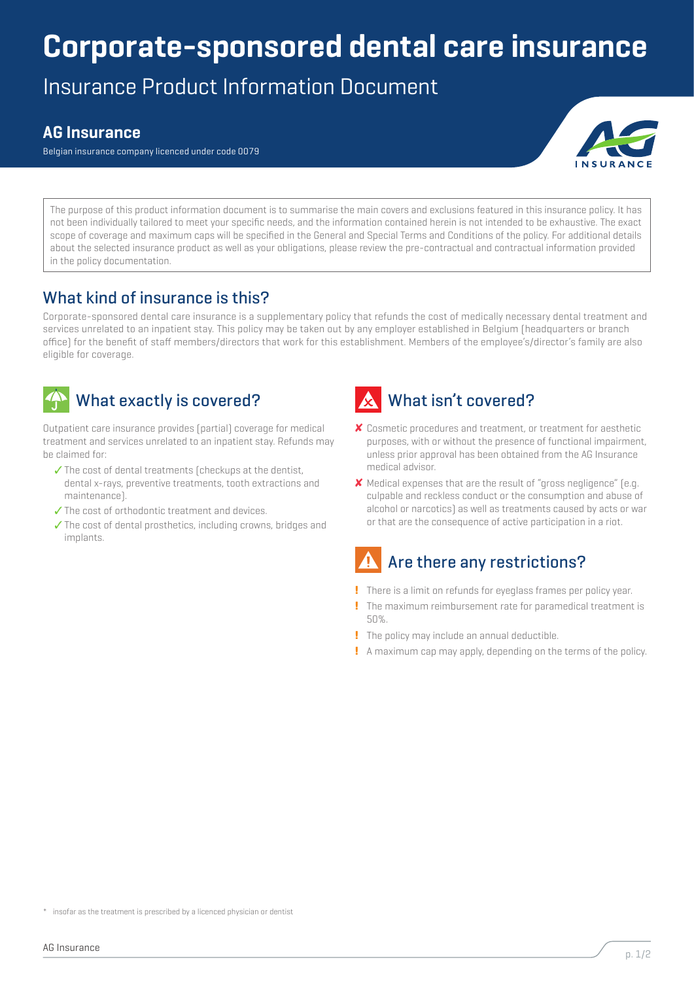## **Corporate-sponsored dental care insurance**

Insurance Product Information Document

#### **AG Insurance**

Belgian insurance company licenced under code 0079



The purpose of this product information document is to summarise the main covers and exclusions featured in this insurance policy. It has not been individually tailored to meet your specific needs, and the information contained herein is not intended to be exhaustive. The exact scope of coverage and maximum caps will be specified in the General and Special Terms and Conditions of the policy. For additional details about the selected insurance product as well as your obligations, please review the pre-contractual and contractual information provided in the policy documentation.

#### What kind of insurance is this?

Corporate-sponsored dental care insurance is a supplementary policy that refunds the cost of medically necessary dental treatment and services unrelated to an inpatient stay. This policy may be taken out by any employer established in Belgium (headquarters or branch office) for the benefit of staff members/directors that work for this establishment. Members of the employee's/director's family are also eligible for coverage.



#### What exactly is covered?

Outpatient care insurance provides (partial) coverage for medical treatment and services unrelated to an inpatient stay. Refunds may be claimed for:

- ✓ The cost of dental treatments (checkups at the dentist, dental x-rays, preventive treatments, tooth extractions and maintenance).
- ✓ The cost of orthodontic treatment and devices.
- ✓ The cost of dental prosthetics, including crowns, bridges and implants.



# ✘ Cosmetic procedures and treatment, or treatment for aesthetic

- purposes, with or without the presence of functional impairment, unless prior approval has been obtained from the AG Insurance medical advisor.
- ✘ Medical expenses that are the result of "gross negligence" (e.g. culpable and reckless conduct or the consumption and abuse of alcohol or narcotics) as well as treatments caused by acts or war or that are the consequence of active participation in a riot.

## Are there any restrictions?

- **!** There is a limit on refunds for eyeglass frames per policy year.
- **!** The maximum reimbursement rate for paramedical treatment is 50%.
- **!** The policy may include an annual deductible.
- **!** A maximum cap may apply, depending on the terms of the policy.

<sup>\*</sup> insofar as the treatment is prescribed by a licenced physician or dentist